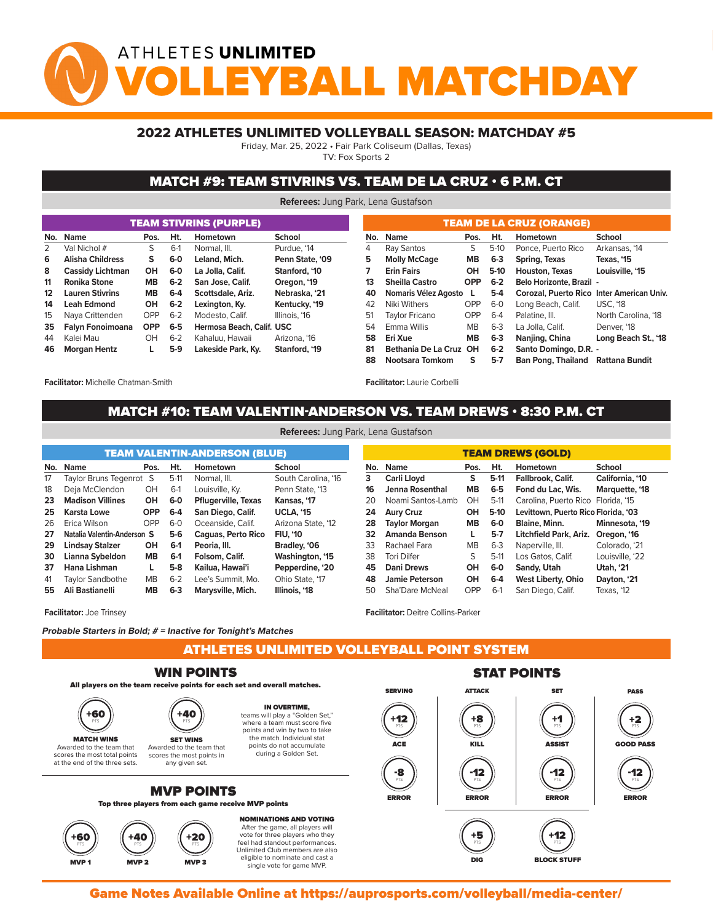# ATHLETES UNLIMITED *Y***BALL MATCHDA**

#### 2022 ATHLETES UNLIMITED VOLLEYBALL SEASON: MATCHDAY #5

Friday, Mar. 25, 2022 • Fair Park Coliseum (Dallas, Texas)

TV: Fox Sports 2

#### MATCH #9: TEAM STIVRINS VS. TEAM DE LA CRUZ • 6 P.M. CT

**Referees:** Jung Park, Lena Gustafson

| <b>TEAM STIVRINS (PURPLE)</b> |                         |            |         |                           |                 |  |  |  |  |  |  |  |  |
|-------------------------------|-------------------------|------------|---------|---------------------------|-----------------|--|--|--|--|--|--|--|--|
| No.                           | <b>Name</b>             | Pos.       | Ht.     | Hometown                  | School          |  |  |  |  |  |  |  |  |
| $\mathcal{P}$                 | Val Nichol #            | S          | $6-1$   | Normal, III.              | Purdue, '14     |  |  |  |  |  |  |  |  |
| 6                             | <b>Alisha Childress</b> | S          | 6-0     | Leland, Mich.             | Penn State, '09 |  |  |  |  |  |  |  |  |
| 8                             | <b>Cassidy Lichtman</b> | OH         | $6-0$   | La Jolla, Calif.          | Stanford, '10   |  |  |  |  |  |  |  |  |
| 11                            | <b>Ronika Stone</b>     | <b>MB</b>  | $6-2$   | San Jose, Calif.          | Oregon, '19     |  |  |  |  |  |  |  |  |
| 12                            | <b>Lauren Stivrins</b>  | <b>MB</b>  | $6-4$   | Scottsdale, Ariz.         | Nebraska, '21   |  |  |  |  |  |  |  |  |
| 14                            | <b>Leah Edmond</b>      | OH         | $6 - 2$ | Lexington, Ky.            | Kentucky, '19   |  |  |  |  |  |  |  |  |
| 15                            | Naya Crittenden         | OPP        | $6 - 2$ | Modesto, Calif.           | Illinois, '16   |  |  |  |  |  |  |  |  |
| 35                            | Falyn Fonoimoana        | <b>OPP</b> | $6-5$   | Hermosa Beach, Calif. USC |                 |  |  |  |  |  |  |  |  |
| 44                            | Kalei Mau               | OH         | $6 - 2$ | Kahaluu, Hawaii           | Arizona, '16    |  |  |  |  |  |  |  |  |
| 46                            | <b>Morgan Hentz</b>     | L          | $5-9$   | Lakeside Park, Ky.        | Stanford, '19   |  |  |  |  |  |  |  |  |

| <b>TEAM DE LA CRUZ (ORANGE)</b> |                        |            |         |                                           |                     |  |  |  |  |  |  |  |  |
|---------------------------------|------------------------|------------|---------|-------------------------------------------|---------------------|--|--|--|--|--|--|--|--|
| No.                             | <b>Name</b>            | Pos.       | Ht.     | Hometown                                  | School              |  |  |  |  |  |  |  |  |
| 4                               | Ray Santos             | S          | $5-10$  | Ponce, Puerto Rico                        | Arkansas, '14       |  |  |  |  |  |  |  |  |
| 5                               | <b>Molly McCage</b>    | <b>MB</b>  | $6 - 3$ | Spring, Texas                             | Texas, '15          |  |  |  |  |  |  |  |  |
| 7                               | <b>Erin Fairs</b>      | OН         | $5-10$  | <b>Houston, Texas</b>                     | Louisville, '15     |  |  |  |  |  |  |  |  |
| 13                              | <b>Sheilla Castro</b>  | <b>OPP</b> | $6 - 2$ | <b>Belo Horizonte, Brazil -</b>           |                     |  |  |  |  |  |  |  |  |
| 40                              | Nomaris Vélez Agosto   | I.         | $5-4$   | Corozal, Puerto Rico Inter American Univ. |                     |  |  |  |  |  |  |  |  |
| 42                              | Niki Withers           | OPP        | $6-0$   | Long Beach, Calif.                        | <b>USC. '18</b>     |  |  |  |  |  |  |  |  |
| 51                              | <b>Taylor Fricano</b>  | OPP        | $6-4$   | Palatine, III.                            | North Carolina, '18 |  |  |  |  |  |  |  |  |
| 54                              | <b>Emma Willis</b>     | <b>MB</b>  | $6 - 3$ | La Jolla, Calif.                          | Denver. '18         |  |  |  |  |  |  |  |  |
| 58                              | Eri Xue                | <b>MB</b>  | $6 - 3$ | Nanjing, China                            | Long Beach St., '18 |  |  |  |  |  |  |  |  |
| 81                              | Bethania De La Cruz OH |            | $6 - 2$ | Santo Domingo, D.R. -                     |                     |  |  |  |  |  |  |  |  |
| 88                              | Nootsara Tomkom        | s          | $5-7$   | Ban Pong, Thailand Rattana Bundit         |                     |  |  |  |  |  |  |  |  |

**Facilitator:** Michelle Chatman-Smith

**Facilitator:** Laurie Corbelli

## MATCH #10: TEAM VALENTIN-ANDERSON VS. TEAM DREWS • 8:30 P.M. CT<br>Présume line de la constant de la constant

| <b>TEAM VALENTIN-ANDERSON (BLUE)</b> |                             |            |         |                            |                     |  |  |  |  |  |  |  |
|--------------------------------------|-----------------------------|------------|---------|----------------------------|---------------------|--|--|--|--|--|--|--|
| No.                                  | <b>Name</b>                 | Pos.       | Ht.     | Hometown                   | School              |  |  |  |  |  |  |  |
| 17                                   | Taylor Bruns Tegenrot S     |            | $5-11$  | Normal, III.               | South Carolina, '16 |  |  |  |  |  |  |  |
| 18                                   | Deja McClendon              | OH         | $6-1$   | Louisville, Ky.            | Penn State, '13     |  |  |  |  |  |  |  |
| 23                                   | <b>Madison Villines</b>     | OH         | $6-0$   | <b>Pflugerville, Texas</b> | Kansas, '17         |  |  |  |  |  |  |  |
| 25                                   | Karsta Lowe                 | <b>OPP</b> | $6-4$   | San Diego, Calif.          | <b>UCLA, '15</b>    |  |  |  |  |  |  |  |
| 26                                   | Erica Wilson                | OPP        | $6-0$   | Oceanside, Calif.          | Arizona State, '12  |  |  |  |  |  |  |  |
| 27                                   | Natalia Valentin-Anderson S |            | $5-6$   | Caguas, Perto Rico         | <b>FIU. '10</b>     |  |  |  |  |  |  |  |
| 29                                   | <b>Lindsay Stalzer</b>      | OН         | $6-1$   | Peoria, III.               | Bradley, '06        |  |  |  |  |  |  |  |
| 30                                   | Lianna Sybeldon             | <b>MB</b>  | $6-1$   | Folsom, Calif.             | Washington, '15     |  |  |  |  |  |  |  |
| 37                                   | Hana Lishman                | L          | $5-8$   | Kailua, Hawai'i            | Pepperdine, '20     |  |  |  |  |  |  |  |
| 41                                   | Taylor Sandbothe            | <b>MB</b>  | $6 - 2$ | Lee's Summit. Mo.          | Ohio State, '17     |  |  |  |  |  |  |  |
| 55                                   | Ali Bastianelli             | <b>MB</b>  | $6 - 3$ | Marysville, Mich.          | Illinois, '18       |  |  |  |  |  |  |  |

**Facilitator:** Joe Trinsey

**Probable Starters in Bold; # = Inactive for Tonight's Matches**

ATHLETES UNLIMITED VOLLEYBALL POINT SYSTEM



Game Notes Available Online at https://auprosports.com/volleyball/media-center/<br>.

**Referees:** Jung Park, Lena Gustafson

| <b>TEAM DREWS (GOLD)</b> |                                                         |           |                                               |                                             |                  |  |  |  |  |  |  |  |  |
|--------------------------|---------------------------------------------------------|-----------|-----------------------------------------------|---------------------------------------------|------------------|--|--|--|--|--|--|--|--|
| No.                      | Ht.<br><b>School</b><br><b>Name</b><br>Hometown<br>Pos. |           |                                               |                                             |                  |  |  |  |  |  |  |  |  |
| 3                        | Carli Lloyd                                             | s         | $5-11$                                        | California, '10<br><b>Fallbrook, Calif.</b> |                  |  |  |  |  |  |  |  |  |
| 16                       | Jenna Rosenthal                                         | <b>MB</b> | $6-5$                                         | Fond du Lac. Wis.                           | Marquette, '18   |  |  |  |  |  |  |  |  |
| 20                       | Noami Santos-Lamb                                       | OH        | $5-11$                                        | Carolina, Puerto Rico Florida, '15          |                  |  |  |  |  |  |  |  |  |
| 24                       | <b>Aury Cruz</b>                                        | OН        | $5-10$<br>Levittown, Puerto Rico Florida, '03 |                                             |                  |  |  |  |  |  |  |  |  |
| 28                       | <b>Taylor Morgan</b>                                    | MВ        | $6-0$                                         | Minnesota, '19<br><b>Blaine, Minn.</b>      |                  |  |  |  |  |  |  |  |  |
| 32                       | <b>Amanda Benson</b>                                    | L         | $5-7$                                         | Litchfield Park, Ariz.                      | Oregon, '16      |  |  |  |  |  |  |  |  |
| 33                       | Rachael Fara                                            | <b>MB</b> | $6-3$                                         | Naperville, III.                            | Colorado, '21    |  |  |  |  |  |  |  |  |
| 38                       | <b>Tori Dilfer</b>                                      | S         | $5-11$                                        | Los Gatos, Calif.                           | Louisville, '22  |  |  |  |  |  |  |  |  |
| 45                       | <b>Dani Drews</b>                                       | OН        | 6-0                                           | Sandy, Utah                                 | <b>Utah, '21</b> |  |  |  |  |  |  |  |  |
| 48                       | <b>Jamie Peterson</b>                                   | <b>OH</b> | $6-4$                                         | <b>West Liberty, Ohio</b>                   | Dayton, '21      |  |  |  |  |  |  |  |  |
| 50                       | Sha'Dare McNeal                                         | OPP       | $6-1$                                         | San Diego, Calif.                           | Texas, '12       |  |  |  |  |  |  |  |  |

single vote for game MVP.

**Facilitator:** Deitre Collins-Parker

MVP 2 MVP 2 MVP 3 MVP 3 MVP 3 MVP 3 MVP 3 MVP 3 MVP 3 MVP 3 MVP 3 MVP 3 MVP 3 MVP 3 MVP 3 MVP 3 MVP 3 MVP 3 MV